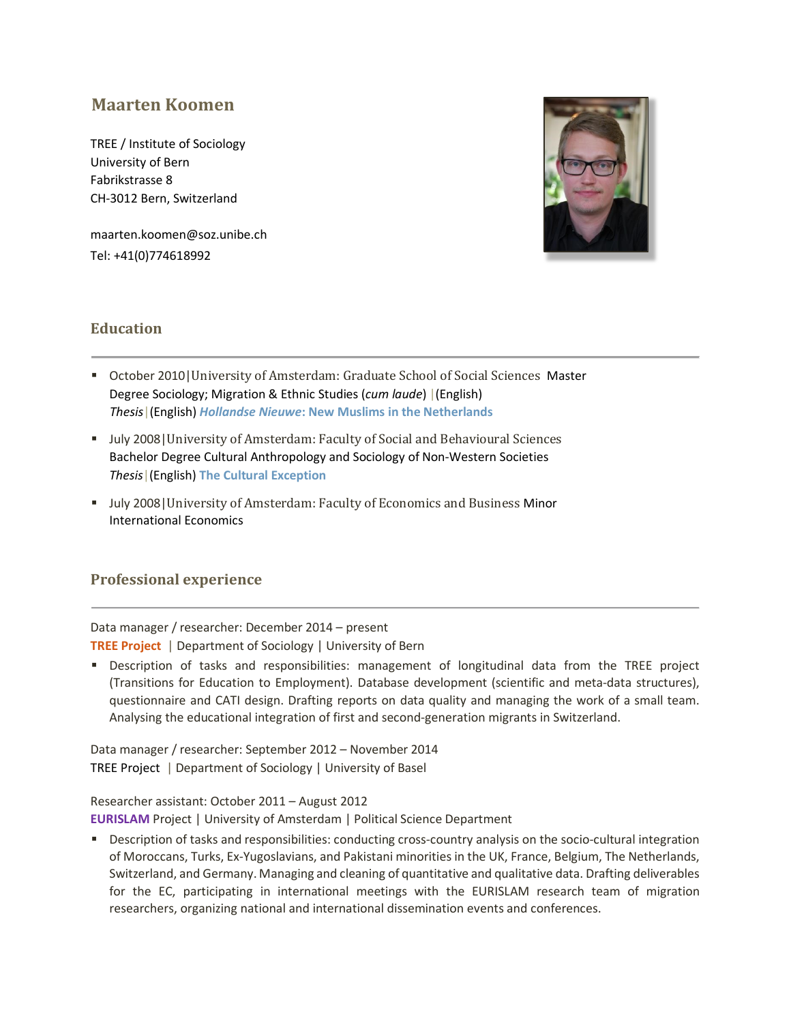# **Maarten Koomen**

TREE / Institute of Sociology University of Bern Fabrikstrasse 8 CH-3012 Bern, Switzerland

maarten.koomen@soz.unibe.ch Tel: +41(0)774618992



## **Education**

- October 2010|University of Amsterdam: Graduate School of Social Sciences Master Degree Sociology; Migration & Ethnic Studies (*cum laude*) |(English) *Thesis*|(English) *[Hollandse](http://dare.uva.nl/document/189586) [Nieuwe](http://dare.uva.nl/document/189586)***[: New Muslims in the Netherlands](http://dare.uva.nl/document/189586)**
- **July 2008 | University of Amsterdam: Faculty of Social and Behavioural Sciences** Bachelor Degree Cultural Anthropology and Sociology of Non-Western Societies *Thesis*|(English) **[The](http://dare.uva.nl/document/117648) [Cultural](http://dare.uva.nl/document/117648) [Exception](http://dare.uva.nl/document/117648)**
- **July 2008 | University of Amsterdam: Faculty of Economics and Business Minor** International Economics

## **Professional experience**

Data manager / researcher: December 2014 – present **[TREE Project](http://tree.unibas.ch/)** | Department of Sociology | University of Bern

 Description of tasks and responsibilities: management of longitudinal data from the TREE project (Transitions for Education to Employment). Database development (scientific and meta-data structures), questionnaire and CATI design. Drafting reports on data quality and managing the work of a small team. Analysing the educational integration of first and second-generation migrants in Switzerland.

Data manager / researcher: September 2012 – November 2014 TREE Projec[t](http://tree.unibas.ch/) | Department of Sociology | University of Basel

Researcher assistant: October 2011 – August 2012 **[EURISLAM](http://www.eurislam.eu/)** Project | University of Amsterdam | Political Science Department

 Description of tasks and responsibilities: conducting cross-country analysis on the socio-cultural integration of Moroccans, Turks, Ex-Yugoslavians, and Pakistani minorities in the UK, France, Belgium, The Netherlands, Switzerland, and Germany. Managing and cleaning of quantitative and qualitative data. Drafting deliverables for the EC, participating in international meetings with the EURISLAM research team of migration researchers, organizing national and international dissemination events and conferences.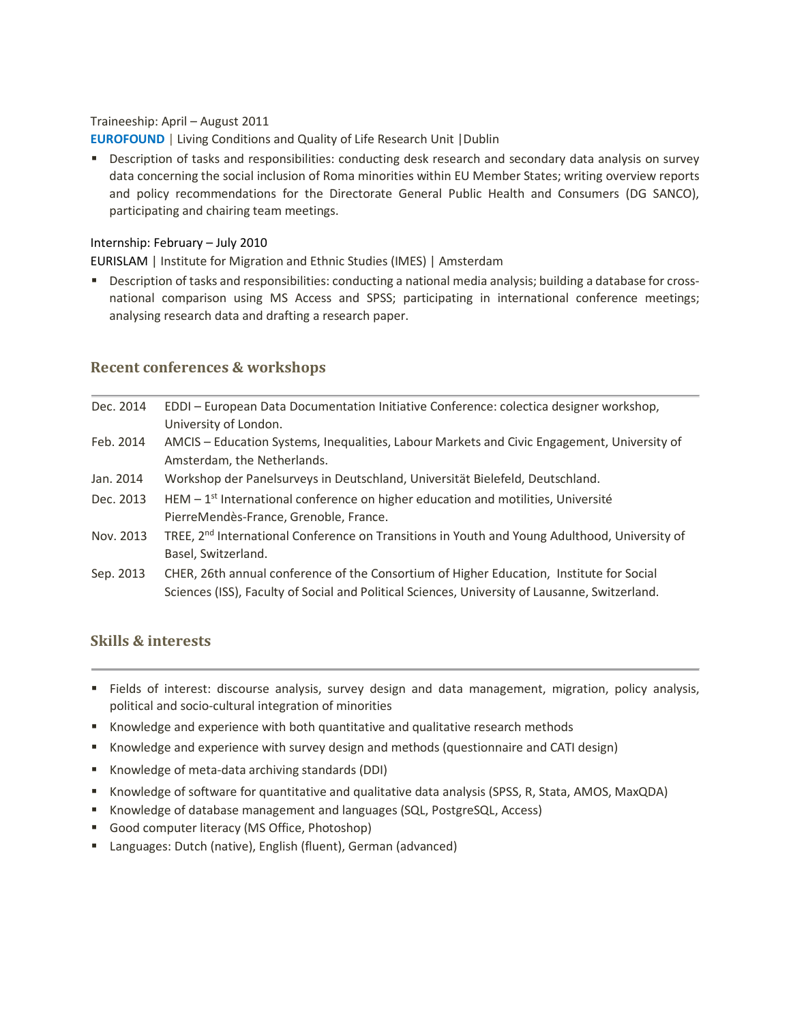#### Traineeship: April – August 2011

**[EUROFOUND](http://www.eurofound.europa.eu/)** | Living Conditions and Quality of Life Research Unit | Dublin

**Description of tasks and responsibilities: conducting desk research and secondary data analysis on survey** data concerning the social inclusion of Roma minorities within EU Member States; writing overview reports and policy recommendations for the Directorate General Public Health and Consumers (DG SANCO), participating and chairing team meetings.

#### Internship: February – July 2010

EURISLA[M](http://www.eurislam.eu/) | Institute for Migration and Ethnic Studies (IMES) | Amsterdam

 Description of tasks and responsibilities: conducting a national media analysis; building a database for crossnational comparison using MS Access and SPSS; participating in international conference meetings; analysing research data and drafting a research paper.

## **Recent conferences & workshops**

| Dec. 2014 | EDDI - European Data Documentation Initiative Conference: colectica designer workshop,                    |
|-----------|-----------------------------------------------------------------------------------------------------------|
|           | University of London.                                                                                     |
| Feb. 2014 | AMCIS - Education Systems, Inequalities, Labour Markets and Civic Engagement, University of               |
|           | Amsterdam, the Netherlands.                                                                               |
| Jan. 2014 | Workshop der Panelsurveys in Deutschland, Universität Bielefeld, Deutschland.                             |
| Dec. 2013 | HEM - 1 <sup>st</sup> International conference on higher education and motilities, Université             |
|           | PierreMendès-France, Grenoble, France.                                                                    |
| Nov. 2013 | TREE, 2 <sup>nd</sup> International Conference on Transitions in Youth and Young Adulthood, University of |
|           | Basel, Switzerland.                                                                                       |
| Sep. 2013 | CHER, 26th annual conference of the Consortium of Higher Education, Institute for Social                  |
|           | Sciences (ISS), Faculty of Social and Political Sciences, University of Lausanne, Switzerland.            |

## **Skills & interests**

- Fields of interest: discourse analysis, survey design and data management, migration, policy analysis, political and socio-cultural integration of minorities
- Knowledge and experience with both quantitative and qualitative research methods
- K Knowledge and experience with survey design and methods (questionnaire and CATI design)
- Knowledge of meta-data archiving standards (DDI)
- Knowledge of software for quantitative and qualitative data analysis (SPSS, R, Stata, AMOS, MaxQDA)
- Knowledge of database management and languages (SQL, PostgreSQL, Access)
- Good computer literacy (MS Office, Photoshop)
- Languages: Dutch (native), English (fluent), German (advanced)